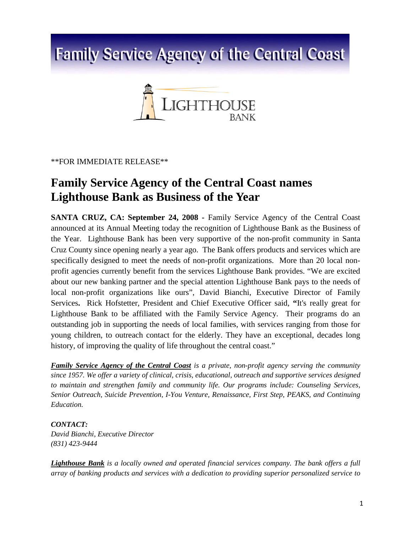## **Family Service Agency of the Central Coast**



\*\*FOR IMMEDIATE RELEASE\*\*

## **Family Service Agency of the Central Coast names Lighthouse Bank as Business of the Year**

**SANTA CRUZ, CA: September 24, 2008 -** Family Service Agency of the Central Coast announced at its Annual Meeting today the recognition of Lighthouse Bank as the Business of the Year. Lighthouse Bank has been very supportive of the non-profit community in Santa Cruz County since opening nearly a year ago. The Bank offers products and services which are specifically designed to meet the needs of non-profit organizations. More than 20 local nonprofit agencies currently benefit from the services Lighthouse Bank provides. "We are excited about our new banking partner and the special attention Lighthouse Bank pays to the needs of local non-profit organizations like ours", David Bianchi, Executive Director of Family Services**.** Rick Hofstetter, President and Chief Executive Officer said, **"**It's really great for Lighthouse Bank to be affiliated with the Family Service Agency. Their programs do an outstanding job in supporting the needs of local families, with services ranging from those for young children, to outreach contact for the elderly. They have an exceptional, decades long history, of improving the quality of life throughout the central coast."

*Family Service Agency of the Central Coast is a private, non-profit agency serving the community since 1957. We offer a variety of clinical, crisis, educational, outreach and supportive services designed to maintain and strengthen family and community life. Our programs include: Counseling Services, Senior Outreach, Suicide Prevention, I-You Venture, Renaissance, First Step, PEAKS, and Continuing Education.*

## *CONTACT:*

*David Bianchi, Executive Director (831) 423-9444*

*Lighthouse Bank is a locally owned and operated financial services company. The bank offers a full array of banking products and services with a dedication to providing superior personalized service to*